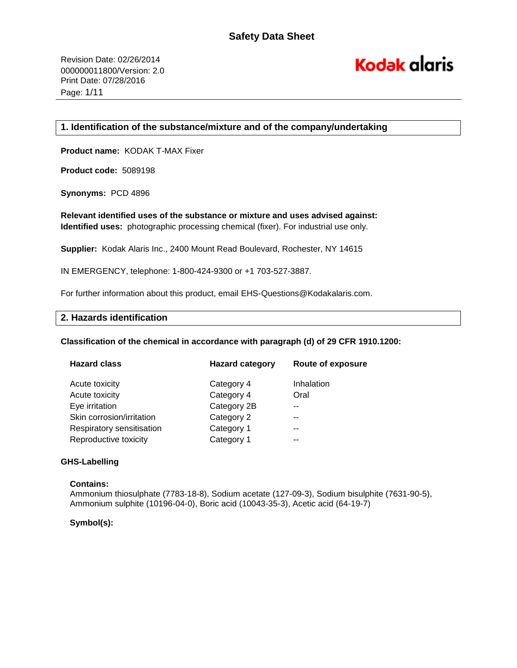# **Kodak alaris**

# **1. Identification of the substance/mixture and of the company/undertaking**

**Product name:** KODAK T-MAX Fixer

**Product code:** 5089198

**Synonyms:** PCD 4896

**Relevant identified uses of the substance or mixture and uses advised against: Identified uses:** photographic processing chemical (fixer). For industrial use only.

**Supplier:** Kodak Alaris Inc., 2400 Mount Read Boulevard, Rochester, NY 14615

IN EMERGENCY, telephone: 1-800-424-9300 or +1 703-527-3887.

For further information about this product, email EHS-Questions@Kodakalaris.com.

# **2. Hazards identification**

**Classification of the chemical in accordance with paragraph (d) of 29 CFR 1910.1200:** 

| <b>Hazard class</b>       | <b>Hazard category</b> | <b>Route of exposure</b> |
|---------------------------|------------------------|--------------------------|
| Acute toxicity            | Category 4             | Inhalation               |
| Acute toxicity            | Category 4             | Oral                     |
| Eye irritation            | Category 2B            |                          |
| Skin corrosion/irritation | Category 2             |                          |
| Respiratory sensitisation | Category 1             | --                       |
| Reproductive toxicity     | Category 1             |                          |

## **GHS-Labelling**

## **Contains:**

Ammonium thiosulphate (7783-18-8), Sodium acetate (127-09-3), Sodium bisulphite (7631-90-5), Ammonium sulphite (10196-04-0), Boric acid (10043-35-3), Acetic acid (64-19-7)

## **Symbol(s):**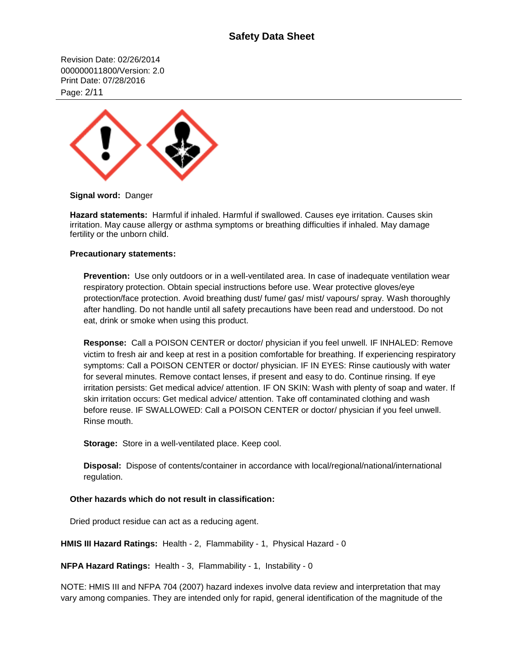# **Safety Data Sheet**

Revision Date: 02/26/2014 000000011800/Version: 2.0 Print Date: 07/28/2016 Page: 2/11



**Signal word:** Danger

**Hazard statements:** Harmful if inhaled. Harmful if swallowed. Causes eye irritation. Causes skin irritation. May cause allergy or asthma symptoms or breathing difficulties if inhaled. May damage fertility or the unborn child.

## **Precautionary statements:**

**Prevention:** Use only outdoors or in a well-ventilated area. In case of inadequate ventilation wear respiratory protection. Obtain special instructions before use. Wear protective gloves/eye protection/face protection. Avoid breathing dust/ fume/ gas/ mist/ vapours/ spray. Wash thoroughly after handling. Do not handle until all safety precautions have been read and understood. Do not eat, drink or smoke when using this product.

**Response:** Call a POISON CENTER or doctor/ physician if you feel unwell. IF INHALED: Remove victim to fresh air and keep at rest in a position comfortable for breathing. If experiencing respiratory symptoms: Call a POISON CENTER or doctor/ physician. IF IN EYES: Rinse cautiously with water for several minutes. Remove contact lenses, if present and easy to do. Continue rinsing. If eye irritation persists: Get medical advice/ attention. IF ON SKIN: Wash with plenty of soap and water. If skin irritation occurs: Get medical advice/ attention. Take off contaminated clothing and wash before reuse. IF SWALLOWED: Call a POISON CENTER or doctor/ physician if you feel unwell. Rinse mouth.

**Storage:** Store in a well-ventilated place. Keep cool.

**Disposal:** Dispose of contents/container in accordance with local/regional/national/international regulation.

## **Other hazards which do not result in classification:**

Dried product residue can act as a reducing agent.

**HMIS III Hazard Ratings:** Health - 2, Flammability - 1, Physical Hazard - 0

**NFPA Hazard Ratings:** Health - 3, Flammability - 1, Instability - 0

NOTE: HMIS III and NFPA 704 (2007) hazard indexes involve data review and interpretation that may vary among companies. They are intended only for rapid, general identification of the magnitude of the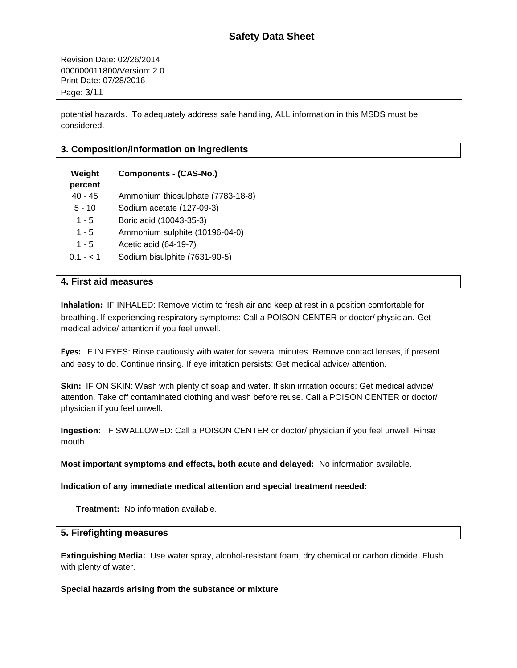Revision Date: 02/26/2014 000000011800/Version: 2.0 Print Date: 07/28/2016 Page: 3/11

potential hazards. To adequately address safe handling, ALL information in this MSDS must be considered.

# **3. Composition/information on ingredients**

| Weight<br>percent | <b>Components - (CAS-No.)</b>     |
|-------------------|-----------------------------------|
| $40 - 45$         | Ammonium thiosulphate (7783-18-8) |
| $5 - 10$          | Sodium acetate (127-09-3)         |
| $1 - 5$           | Boric acid (10043-35-3)           |
| 1 - 5             | Ammonium sulphite (10196-04-0)    |
| $1 - 5$           | Acetic acid (64-19-7)             |
| $0.1 - 1$         | Sodium bisulphite (7631-90-5)     |

# **4. First aid measures**

**Inhalation:** IF INHALED: Remove victim to fresh air and keep at rest in a position comfortable for breathing. If experiencing respiratory symptoms: Call a POISON CENTER or doctor/ physician. Get medical advice/ attention if you feel unwell.

**Eyes:** IF IN EYES: Rinse cautiously with water for several minutes. Remove contact lenses, if present and easy to do. Continue rinsing. If eye irritation persists: Get medical advice/ attention.

**Skin:** IF ON SKIN: Wash with plenty of soap and water. If skin irritation occurs: Get medical advice/ attention. Take off contaminated clothing and wash before reuse. Call a POISON CENTER or doctor/ physician if you feel unwell.

**Ingestion:** IF SWALLOWED: Call a POISON CENTER or doctor/ physician if you feel unwell. Rinse mouth.

**Most important symptoms and effects, both acute and delayed:** No information available.

**Indication of any immediate medical attention and special treatment needed:**

**Treatment:** No information available.

# **5. Firefighting measures**

**Extinguishing Media:** Use water spray, alcohol-resistant foam, dry chemical or carbon dioxide. Flush with plenty of water.

## **Special hazards arising from the substance or mixture**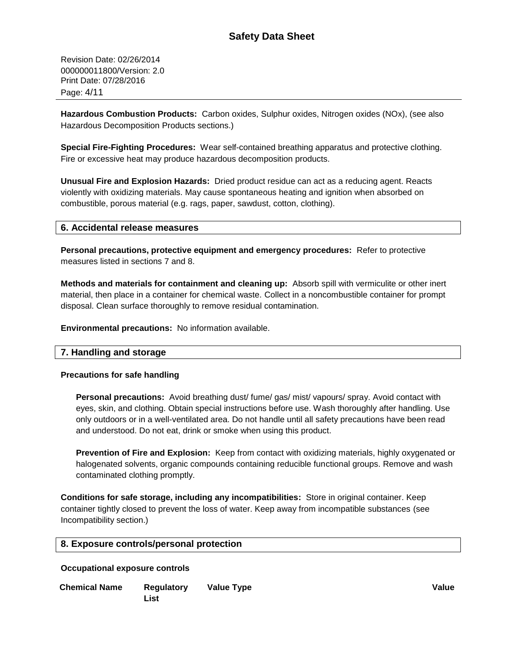Revision Date: 02/26/2014 000000011800/Version: 2.0 Print Date: 07/28/2016 Page: 4/11

**Hazardous Combustion Products:** Carbon oxides, Sulphur oxides, Nitrogen oxides (NOx), (see also Hazardous Decomposition Products sections.)

**Special Fire-Fighting Procedures:** Wear self-contained breathing apparatus and protective clothing. Fire or excessive heat may produce hazardous decomposition products.

**Unusual Fire and Explosion Hazards:** Dried product residue can act as a reducing agent. Reacts violently with oxidizing materials. May cause spontaneous heating and ignition when absorbed on combustible, porous material (e.g. rags, paper, sawdust, cotton, clothing).

# **6. Accidental release measures**

**Personal precautions, protective equipment and emergency procedures:** Refer to protective measures listed in sections 7 and 8.

**Methods and materials for containment and cleaning up:** Absorb spill with vermiculite or other inert material, then place in a container for chemical waste. Collect in a noncombustible container for prompt disposal. Clean surface thoroughly to remove residual contamination.

**Environmental precautions:** No information available.

# **7. Handling and storage**

## **Precautions for safe handling**

**Personal precautions:** Avoid breathing dust/ fume/ gas/ mist/ vapours/ spray. Avoid contact with eyes, skin, and clothing. Obtain special instructions before use. Wash thoroughly after handling. Use only outdoors or in a well-ventilated area. Do not handle until all safety precautions have been read and understood. Do not eat, drink or smoke when using this product.

**Prevention of Fire and Explosion:** Keep from contact with oxidizing materials, highly oxygenated or halogenated solvents, organic compounds containing reducible functional groups. Remove and wash contaminated clothing promptly.

**Conditions for safe storage, including any incompatibilities:** Store in original container. Keep container tightly closed to prevent the loss of water. Keep away from incompatible substances (see Incompatibility section.)

# **8. Exposure controls/personal protection**

## **Occupational exposure controls**

**Chemical Name Regulatory List Value Type Value**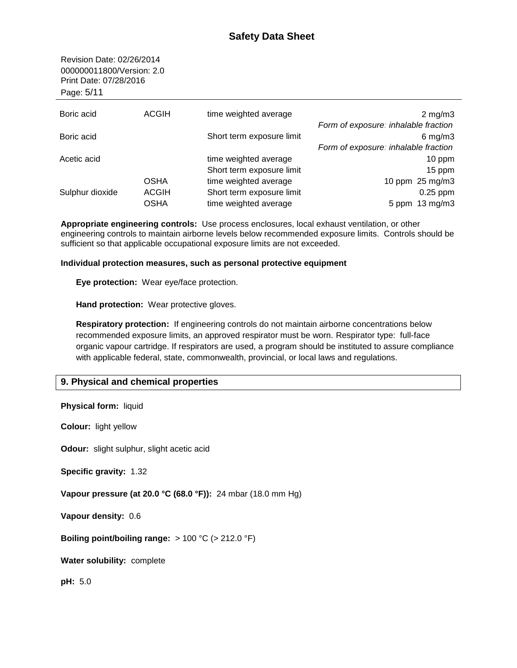Revision Date: 02/26/2014 000000011800/Version: 2.0 Print Date: 07/28/2016 Page: 5/11

| Boric acid      | <b>ACGIH</b> | time weighted average     | $2 \text{ mg/m}$                     |
|-----------------|--------------|---------------------------|--------------------------------------|
|                 |              |                           | Form of exposure: inhalable fraction |
| Boric acid      |              | Short term exposure limit | $6$ mg/m $3$                         |
|                 |              |                           | Form of exposure: inhalable fraction |
| Acetic acid     |              | time weighted average     | $10$ ppm                             |
|                 |              | Short term exposure limit | 15 ppm                               |
|                 | <b>OSHA</b>  | time weighted average     | 10 ppm 25 mg/m3                      |
| Sulphur dioxide | <b>ACGIH</b> | Short term exposure limit | $0.25$ ppm                           |
|                 | <b>OSHA</b>  | time weighted average     | 5 ppm 13 mg/m3                       |

**Appropriate engineering controls:** Use process enclosures, local exhaust ventilation, or other engineering controls to maintain airborne levels below recommended exposure limits. Controls should be sufficient so that applicable occupational exposure limits are not exceeded.

# **Individual protection measures, such as personal protective equipment**

**Eye protection:** Wear eye/face protection.

**Hand protection:** Wear protective gloves.

**Respiratory protection:** If engineering controls do not maintain airborne concentrations below recommended exposure limits, an approved respirator must be worn. Respirator type: full-face organic vapour cartridge. If respirators are used, a program should be instituted to assure compliance with applicable federal, state, commonwealth, provincial, or local laws and regulations.

# **9. Physical and chemical properties**

| <b>Physical form:</b> liquid                                 |
|--------------------------------------------------------------|
| <b>Colour:</b> light yellow                                  |
| <b>Odour:</b> slight sulphur, slight acetic acid             |
| <b>Specific gravity: 1.32</b>                                |
| Vapour pressure (at 20.0 °C (68.0 °F)): 24 mbar (18.0 mm Hg) |
| Vapour density: 0.6                                          |
| Boiling point/boiling range: $> 100 °C$ ( $> 212.0 °F$ )     |
| <b>Water solubility: complete</b>                            |
| pH: 5.0                                                      |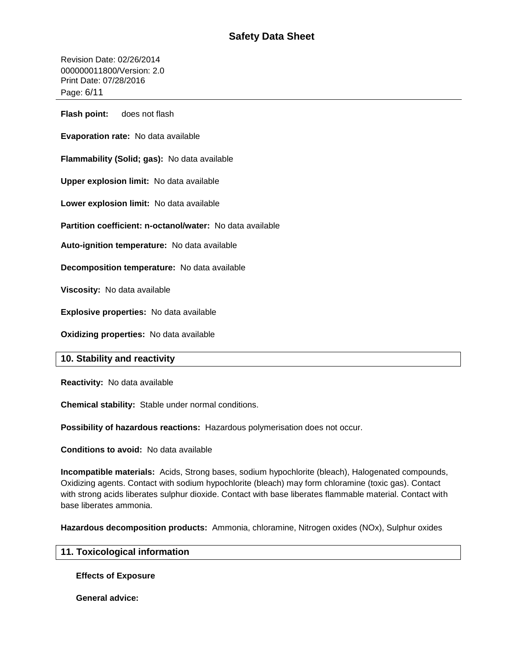Revision Date: 02/26/2014 000000011800/Version: 2.0 Print Date: 07/28/2016 Page: 6/11

**Flash point:** does not flash

**Evaporation rate:** No data available

**Flammability (Solid; gas):** No data available

**Upper explosion limit:** No data available

**Lower explosion limit:** No data available

**Partition coefficient: n-octanol/water:** No data available

**Auto-ignition temperature:** No data available

**Decomposition temperature:** No data available

**Viscosity:** No data available

**Explosive properties:** No data available

**Oxidizing properties:** No data available

# **10. Stability and reactivity**

**Reactivity:** No data available

**Chemical stability:** Stable under normal conditions.

**Possibility of hazardous reactions:** Hazardous polymerisation does not occur.

**Conditions to avoid:** No data available

**Incompatible materials:** Acids, Strong bases, sodium hypochlorite (bleach), Halogenated compounds, Oxidizing agents. Contact with sodium hypochlorite (bleach) may form chloramine (toxic gas). Contact with strong acids liberates sulphur dioxide. Contact with base liberates flammable material. Contact with base liberates ammonia.

**Hazardous decomposition products:** Ammonia, chloramine, Nitrogen oxides (NOx), Sulphur oxides

# **11. Toxicological information**

**Effects of Exposure**

**General advice:**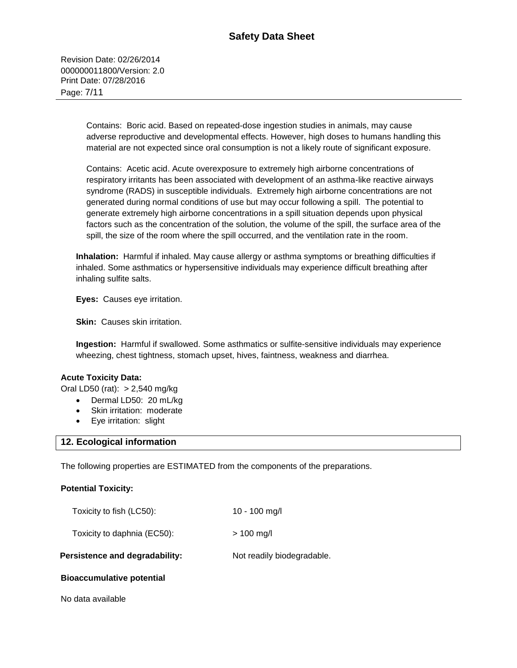Revision Date: 02/26/2014 000000011800/Version: 2.0 Print Date: 07/28/2016 Page: 7/11

> Contains: Boric acid. Based on repeated-dose ingestion studies in animals, may cause adverse reproductive and developmental effects. However, high doses to humans handling this material are not expected since oral consumption is not a likely route of significant exposure.

> Contains: Acetic acid. Acute overexposure to extremely high airborne concentrations of respiratory irritants has been associated with development of an asthma-like reactive airways syndrome (RADS) in susceptible individuals. Extremely high airborne concentrations are not generated during normal conditions of use but may occur following a spill. The potential to generate extremely high airborne concentrations in a spill situation depends upon physical factors such as the concentration of the solution, the volume of the spill, the surface area of the spill, the size of the room where the spill occurred, and the ventilation rate in the room.

**Inhalation:** Harmful if inhaled. May cause allergy or asthma symptoms or breathing difficulties if inhaled. Some asthmatics or hypersensitive individuals may experience difficult breathing after inhaling sulfite salts.

**Eyes:** Causes eye irritation.

**Skin: Causes skin irritation.** 

**Ingestion:** Harmful if swallowed. Some asthmatics or sulfite-sensitive individuals may experience wheezing, chest tightness, stomach upset, hives, faintness, weakness and diarrhea.

## **Acute Toxicity Data:**

Oral LD50 (rat): > 2,540 mg/kg

- Dermal LD50: 20 mL/kg
- Skin irritation: moderate
- Eye irritation: slight

## **12. Ecological information**

The following properties are ESTIMATED from the components of the preparations.

## **Potential Toxicity:**

| Persistence and degradability: | Not readily biodegradable. |
|--------------------------------|----------------------------|
| Toxicity to daphnia (EC50):    | $> 100$ mg/l               |
| Toxicity to fish (LC50):       | 10 - 100 mg/l              |

## **Bioaccumulative potential**

No data available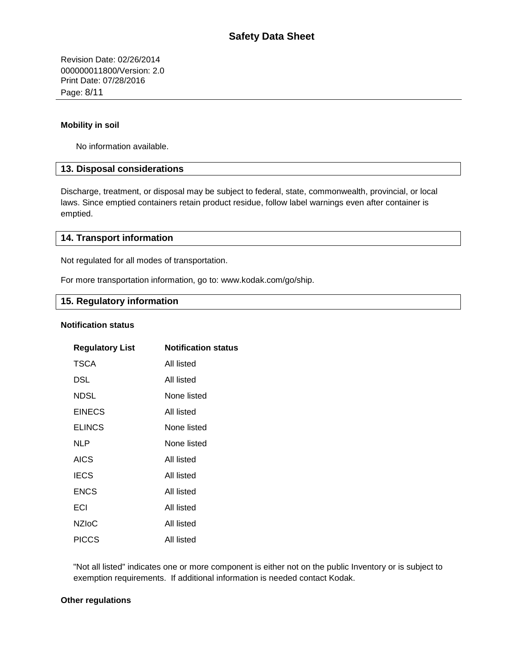Revision Date: 02/26/2014 000000011800/Version: 2.0 Print Date: 07/28/2016 Page: 8/11

# **Mobility in soil**

No information available.

# **13. Disposal considerations**

Discharge, treatment, or disposal may be subject to federal, state, commonwealth, provincial, or local laws. Since emptied containers retain product residue, follow label warnings even after container is emptied.

# **14. Transport information**

Not regulated for all modes of transportation.

For more transportation information, go to: www.kodak.com/go/ship.

# **15. Regulatory information**

#### **Notification status**

| <b>Regulatory List</b> | <b>Notification status</b> |
|------------------------|----------------------------|
| <b>TSCA</b>            | All listed                 |
| DSL                    | All listed                 |
| NDSL                   | None listed                |
| <b>EINECS</b>          | All listed                 |
| <b>ELINCS</b>          | None listed                |
| NLP                    | None listed                |
| <b>AICS</b>            | All listed                 |
| <b>IECS</b>            | All listed                 |
| <b>ENCS</b>            | All listed                 |
| ECI                    | All listed                 |
| <b>NZIoC</b>           | All listed                 |
| PICCS                  | All listed                 |

"Not all listed" indicates one or more component is either not on the public Inventory or is subject to exemption requirements. If additional information is needed contact Kodak.

## **Other regulations**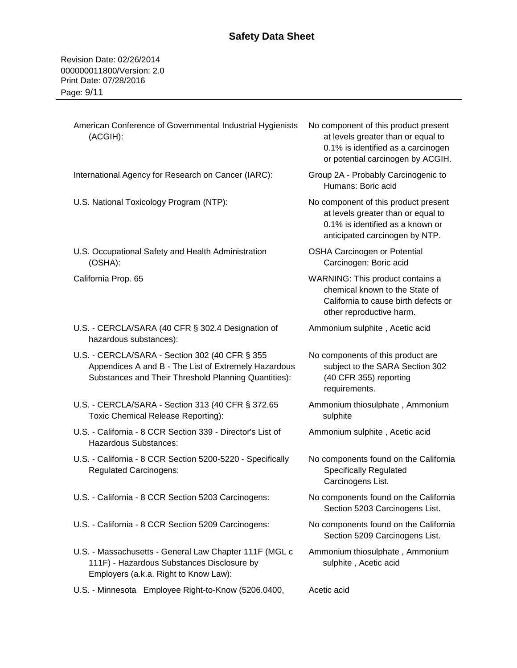American Conference of Governmental Industrial Hygienists No component of this product present

at levels greater than or equal to

Revision Date: 02/26/2014 000000011800/Version: 2.0 Print Date: 07/28/2016 Page: 9/11

(ACGIH):

|                                                                                                                                                                | 0.1% is identified as a carcinogen<br>or potential carcinogen by ACGIH.                                                                          |
|----------------------------------------------------------------------------------------------------------------------------------------------------------------|--------------------------------------------------------------------------------------------------------------------------------------------------|
| International Agency for Research on Cancer (IARC):                                                                                                            | Group 2A - Probably Carcinogenic to<br>Humans: Boric acid                                                                                        |
| U.S. National Toxicology Program (NTP):                                                                                                                        | No component of this product present<br>at levels greater than or equal to<br>0.1% is identified as a known or<br>anticipated carcinogen by NTP. |
| U.S. Occupational Safety and Health Administration<br>(OSHA):                                                                                                  | <b>OSHA Carcinogen or Potential</b><br>Carcinogen: Boric acid                                                                                    |
| California Prop. 65                                                                                                                                            | WARNING: This product contains a<br>chemical known to the State of<br>California to cause birth defects or<br>other reproductive harm.           |
| U.S. - CERCLA/SARA (40 CFR § 302.4 Designation of<br>hazardous substances):                                                                                    | Ammonium sulphite, Acetic acid                                                                                                                   |
| U.S. - CERCLA/SARA - Section 302 (40 CFR § 355<br>Appendices A and B - The List of Extremely Hazardous<br>Substances and Their Threshold Planning Quantities): | No components of this product are<br>subject to the SARA Section 302<br>(40 CFR 355) reporting<br>requirements.                                  |
| U.S. - CERCLA/SARA - Section 313 (40 CFR § 372.65<br>Toxic Chemical Release Reporting):                                                                        | Ammonium thiosulphate, Ammonium<br>sulphite                                                                                                      |
| U.S. - California - 8 CCR Section 339 - Director's List of<br>Hazardous Substances:                                                                            | Ammonium sulphite, Acetic acid                                                                                                                   |
| U.S. - California - 8 CCR Section 5200-5220 - Specifically<br><b>Regulated Carcinogens:</b>                                                                    | No components found on the California<br><b>Specifically Regulated</b><br>Carcinogens List.                                                      |
| U.S. - California - 8 CCR Section 5203 Carcinogens:                                                                                                            | No components found on the California<br>Section 5203 Carcinogens List.                                                                          |
| U.S. - California - 8 CCR Section 5209 Carcinogens:                                                                                                            | No components found on the California<br>Section 5209 Carcinogens List.                                                                          |
| U.S. - Massachusetts - General Law Chapter 111F (MGL c<br>111F) - Hazardous Substances Disclosure by<br>Employers (a.k.a. Right to Know Law):                  | Ammonium thiosulphate, Ammonium<br>sulphite, Acetic acid                                                                                         |
| U.S. - Minnesota Employee Right-to-Know (5206.0400,                                                                                                            | Acetic acid                                                                                                                                      |
|                                                                                                                                                                |                                                                                                                                                  |
|                                                                                                                                                                |                                                                                                                                                  |
|                                                                                                                                                                |                                                                                                                                                  |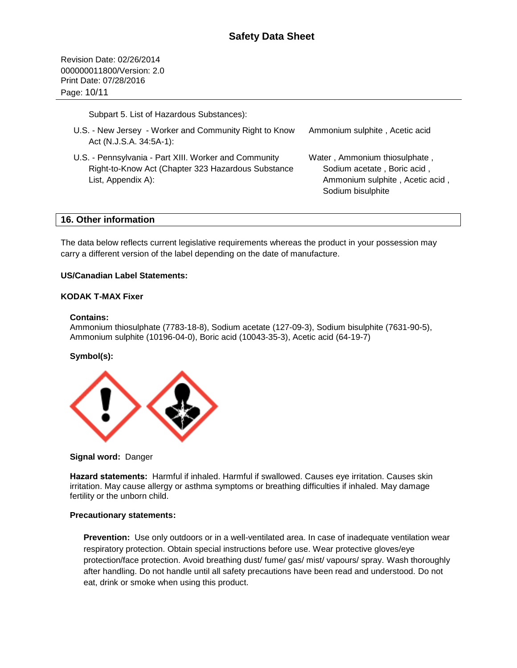Revision Date: 02/26/2014 000000011800/Version: 2.0 Print Date: 07/28/2016 Page: 10/11

Subpart 5. List of Hazardous Substances):

| U.S. - New Jersey - Worker and Community Right to Know<br>Act (N.J.S.A. 34:5A-1):                                                 | Ammonium sulphite, Acetic acid                                                                                       |
|-----------------------------------------------------------------------------------------------------------------------------------|----------------------------------------------------------------------------------------------------------------------|
| U.S. - Pennsylvania - Part XIII. Worker and Community<br>Right-to-Know Act (Chapter 323 Hazardous Substance<br>List, Appendix A): | Water, Ammonium thiosulphate,<br>Sodium acetate, Boric acid,<br>Ammonium sulphite, Acetic acid,<br>Sodium bisulphite |

# **16. Other information**

The data below reflects current legislative requirements whereas the product in your possession may carry a different version of the label depending on the date of manufacture.

# **US/Canadian Label Statements:**

# **KODAK T-MAX Fixer**

## **Contains:**

Ammonium thiosulphate (7783-18-8), Sodium acetate (127-09-3), Sodium bisulphite (7631-90-5), Ammonium sulphite (10196-04-0), Boric acid (10043-35-3), Acetic acid (64-19-7)

## **Symbol(s):**



## **Signal word:** Danger

**Hazard statements:** Harmful if inhaled. Harmful if swallowed. Causes eye irritation. Causes skin irritation. May cause allergy or asthma symptoms or breathing difficulties if inhaled. May damage fertility or the unborn child.

## **Precautionary statements:**

**Prevention:** Use only outdoors or in a well-ventilated area. In case of inadequate ventilation wear respiratory protection. Obtain special instructions before use. Wear protective gloves/eye protection/face protection. Avoid breathing dust/ fume/ gas/ mist/ vapours/ spray. Wash thoroughly after handling. Do not handle until all safety precautions have been read and understood. Do not eat, drink or smoke when using this product.